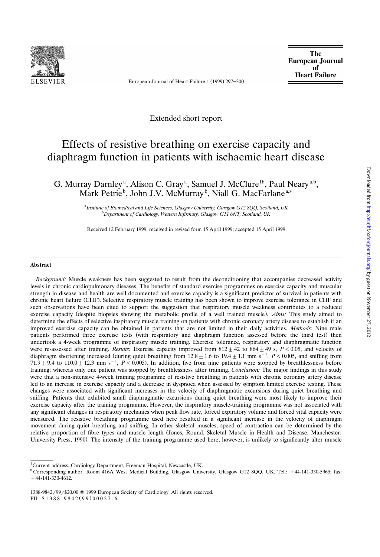

European Journal of Heart Failure 1 (1999) 297-300

**The European Journal of Heart Failure** 

Extended short report

# Effects of resistive breathing on exercise capacity and diaphragm function in patients with ischaemic heart disease

G. Murray Darnley<sup>a</sup>, Alison C. Gray<sup>a</sup>, Samuel J. McClure<sup>1b</sup>, Paul Neary<sup>a,b</sup>, Mark Petrie<sup>b</sup>, John J.V. McMurray<sup>b</sup>, Niall G. MacFarlane<sup>a,\*</sup>

> <sup>a</sup> Institute of Biomedical and Life Sciences, Glasgow University, Glasgow G12 8QQ, Scotland, UK<br><sup>b</sup> Department of Cardiology Western Informany Classow G11 6NT, Scotland, UK *Department of Cardiology, Western Infirmary, Glasgow G11 6NT, Scotland, UK*

Received 12 February 1999; received in revised form 15 April 1999; accepted 15 April 1999

#### **Abstract**

*Background:* Muscle weakness has been suggested to result from the deconditioning that accompanies decreased activity levels in chronic cardiopulmonary diseases. The benefits of standard exercise programmes on exercise capacity and muscular strength in disease and health are well documented and exercise capacity is a significant predictor of survival in patients with chronic heart failure (CHF). Selective respiratory muscle training has been shown to improve exercise tolerance in CHF and such observations have been cited to support the suggestion that respiratory muscle weakness contributes to a reduced exercise capacity (despite biopsies showing the metabolic profile of a well trained muscle). *Aims:* This study aimed to determine the effects of selective inspiratory muscle training on patients with chronic coronary artery disease to establish if an improved exercise capacity can be obtained in patients that are not limited in their daily activities. *Methods:* Nine male patients performed three exercise tests (with respiratory and diaphragm function assessed before the third test) then undertook a 4-week programme of inspiratory muscle training. Exercise tolerance, respiratory and diaphragmatic function were re-assessed after training. *Results:* Exercise capacity improved from  $812 \pm 42$  to  $864 \pm 49$  s,  $P < 0.05$ , and velocity of diaphragm shortening increased (during quiet breathing from  $12.8 \pm 1.6$  to  $19.4 \pm 1.1$  mm s<sup>-1</sup>,  $P < 0.005$ , and sniffing from  $71.9 \pm 9.4$  to  $110.0 \pm 12.3$  mm s<sup>-1</sup>,  $P < 0.005$ ). In addition, five from nine patients were stopped by breathlessness before training; whereas only one patient was stopped by breathlessness after training. *Conclusion:* The major findings in this study were that a non-intensive 4-week training programme of resistive breathing in patients with chronic coronary artery disease led to an increase in exercise capacity and a decrease in dyspnoea when assessed by symptom limited exercise testing. These changes were associated with significant increases in the velocity of diaphragmatic excursions during quiet breathing and sniffing. Patients that exhibited small diaphragmatic excursions during quiet breathing were most likely to improve their exercise capacity after the training programme. However, the inspiratory muscle-training programme was not associated with any significant changes in respiratory mechanics when peak flow rate, forced expiratory volume and forced vital capacity were measured. The resistive breathing programme used here resulted in a significant increase in the velocity of diaphragm movement during quiet breathing and sniffing. In other skeletal muscles, speed of contraction can be determined by the relative proportion of fibre types and muscle length (Jones, Round, Skeletal Muscle in Health and Disease. Manchester: University Press, 1990). The intensity of the training programme used here, however, is unlikely to significantly alter muscle

<sup>&</sup>lt;sup>1</sup>Current address. Cardiology Department, Freeman Hospital, Newcastle, UK.

<sup>\*</sup> Corresponding author. Room 416A West Medical Building, Glasgow University, Glasgow G12 8QQ, UK. Tel.: +44-141-330-5965; fax:  $+44-141-330-4612.$ 

<sup>1388-9842/99/\$20.00 © 1999</sup> European Society of Cardiology. All rights reserved. PII:  $S1388 - 9842(99)00027 - 6$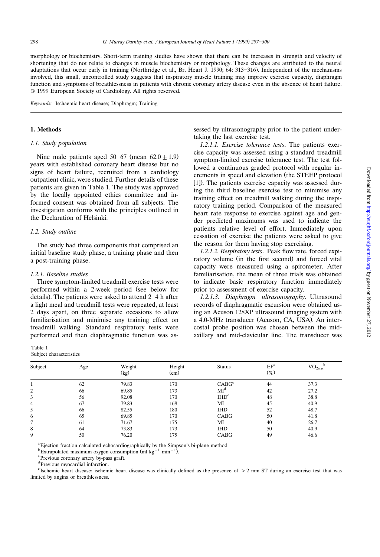morphology or biochemistry. Short-term training studies have shown that there can be increases in strength and velocity of shortening that do not relate to changes in muscle biochemistry or morphology. These changes are attributed to the neural adaptations that occur early in training (Northridge et al., Br. Heart J. 1990; 64: 313-316). Independent of the mechanisms involved, this small, uncontrolled study suggests that inspiratory muscle training may improve exercise capacity, diaphragm function and symptoms of breathlessness in patients with chronic coronary artery disease even in the absence of heart failure. Q 1999 European Society of Cardiology. All rights reserved.

*Keywords:* Ischaemic heart disease; Diaphragm; Training

## **1. Methods**

# *1.1. Study population*

Nine male patients aged  $50-67$  (mean  $62.0 \pm 1.9$ ) years with established coronary heart disease but no signs of heart failure, recruited from a cardiology outpatient clinic, were studied. Further details of these patients are given in Table 1. The study was approved by the locally appointed ethics committee and informed consent was obtained from all subjects. The investigation conforms with the principles outlined in the Declaration of Helsinki.

### *1.2. Study outline*

The study had three components that comprised an initial baseline study phase, a training phase and then a post-training phase.

## *1.2.1. Baseline studies*

Three symptom-limited treadmill exercise tests were performed within a 2-week period (see below for details). The patients were asked to attend  $2-4$  h after a light meal and treadmill tests were repeated, at least 2 days apart, on three separate occasions to allow familiarisation and minimise any training effect on treadmill walking. Standard respiratory tests were performed and then diaphragmatic function was as-

| Table 1 |                         |
|---------|-------------------------|
|         | Subject characteristics |

sessed by ultrasonography prior to the patient undertaking the last exercise test.

*1.2.1.1. Exercise tolerance tests*. The patients exercise capacity was assessed using a standard treadmill symptom-limited exercise tolerance test. The test followed a continuous graded protocol with regular increments in speed and elevation (the STEEP protocol [1]). The patients exercise capacity was assessed during the third baseline exercise test to minimise any training effect on treadmill walking during the inspiratory training period. Comparison of the measured heart rate response to exercise against age and gender predicted maximums was used to indicate the patients relative level of effort. Immediately upon cessation of exercise the patients were asked to give the reason for them having stop exercising.

*1.2.1.2. Respiratory tests*. Peak flow rate, forced expiratory volume (in the first second) and forced vital capacity were measured using a spirometer. After familiarisation, the mean of three trials was obtained to indicate basic respiratory function immediately prior to assessment of exercise capacity.

*1.2.1.3. Diaphragm ultrasonography*. Ultrasound records of diaphragmatic excursion were obtained using an Acuson 128XP ultrasound imaging system with a 4.0-MHz transducer (Acuson, CA, USA). An intercostal probe position was chosen between the midaxillary and mid-clavicular line. The transducer was

| Subject | Age | Weight<br>(kg) | Height<br>(cm) | <b>Status</b>    | EF <sup>a</sup><br>$(\%)$ | $\rm VO_{2max}$ |
|---------|-----|----------------|----------------|------------------|---------------------------|-----------------|
|         | 62  | 79.83          | 170            | $CABG^c$         | 44                        | 37.3            |
| 2       | 66  | 69.85          | 173            | MI <sup>d</sup>  | 42                        | 27.2            |
| 3       | 56  | 92.08          | 170            | IHD <sup>e</sup> | 48                        | 38.8            |
| 4       | 67  | 79.83          | 168            | MI               | 45                        | 40.9            |
| 5       | 66  | 82.55          | 180            | <b>IHD</b>       | 52                        | 48.7            |
| 6       | 65  | 69.85          | 170            | CABG             | 50                        | 41.8            |
| 7       | 61  | 71.67          | 175            | MI               | 40                        | 26.7            |
| 8       | 64  | 73.83          | 173            | <b>IHD</b>       | 50                        | 40.9            |
| 9       | 50  | 76.20          | 175            | CABG             | 49                        | 46.6            |
|         |     |                |                |                  |                           |                 |

<sup>a</sup> Ejection fraction calculated echocardiographically by the Simpson's bi-plane method.

 $b$  Extrapolated maximum oxygen consumption (ml kg<sup>-1</sup> min<sup>-1</sup>).

<sup>c</sup> Previous coronary artery by-pass graft.

<sup>d</sup>Previous myocardial infarction.

<sup>e</sup> Ischemic heart disease; ischemic heart disease was clinically defined as the presence of  $>$  2 mm ST during an exercise test that was limited by angina or breathlessness.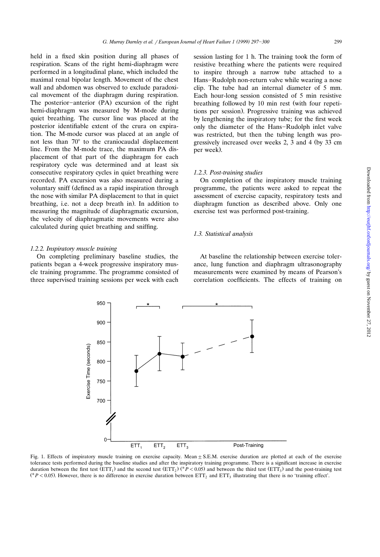held in a fixed skin position during all phases of respiration. Scans of the right hemi-diaphragm were performed in a longitudinal plane, which included the maximal renal bipolar length. Movement of the chest wall and abdomen was observed to exclude paradoxical movement of the diaphragm during respiration. The posterior-anterior  $(PA)$  excursion of the right hemi-diaphragm was measured by M-mode during quiet breathing. The cursor line was placed at the posterior identifiable extent of the crura on expiration. The M-mode cursor was placed at an angle of not less than  $70^{\circ}$  to the craniocaudal displacement line. From the M-mode trace, the maximum PA displacement of that part of the diaphragm for each respiratory cycle was determined and at least six consecutive respiratory cycles in quiet breathing were recorded. PA excursion was also measured during a voluntary sniff defined as a rapid inspiration through Ž the nose with similar PA displacement to that in quiet breathing, i.e. not a deep breath in). In addition to measuring the magnitude of diaphragmatic excursion, the velocity of diaphragmatic movements were also calculated during quiet breathing and sniffing.

#### *1.2.2. Inspiratory muscle training*

On completing preliminary baseline studies, the patients began a 4-week progressive inspiratory muscle training programme. The programme consisted of three supervised training sessions per week with each session lasting for 1 h. The training took the form of resistive breathing where the patients were required to inspire through a narrow tube attached to a Hans-Rudolph non-return valve while wearing a nose clip. The tube had an internal diameter of 5 mm. Each hour-long session consisted of 5 min resistive breathing followed by 10 min rest (with four repetitions per session). Progressive training was achieved by lengthening the inspiratory tube; for the first week only the diameter of the Hans-Rudolph inlet valve was restricted, but then the tubing length was progressively increased over weeks 2, 3 and 4 (by 33 cm per week).

## *1.2.3. Post-training studies*

On completion of the inspiratory muscle training programme, the patients were asked to repeat the assessment of exercise capacity, respiratory tests and diaphragm function as described above. Only one exercise test was performed post-training.

## *1.3. Statistical analysis*

At baseline the relationship between exercise tolerance, lung function and diaphragm ultrasonography measurements were examined by means of Pearson's correlation coefficients. The effects of training on

Fig. 1. Effects of inspiratory muscle training on exercise capacity. Mean  $\pm$  S.E.M. exercise duration are plotted at each of the exercise tolerance tests performed during the baseline studies and after the inspiratory training programme. There is a significant increase in exercise duration between the first test  $(ETT_1)$  and the second test  $(ETT_2)$  (\*P < 0.05) and between the third test  $(ETT_3)$  and the post-training test (\*P < 0.05). However, there is no difference in exercise duration between  $ETT_2$  and  $ETT_3$  illustrating that there is no 'training effect'.